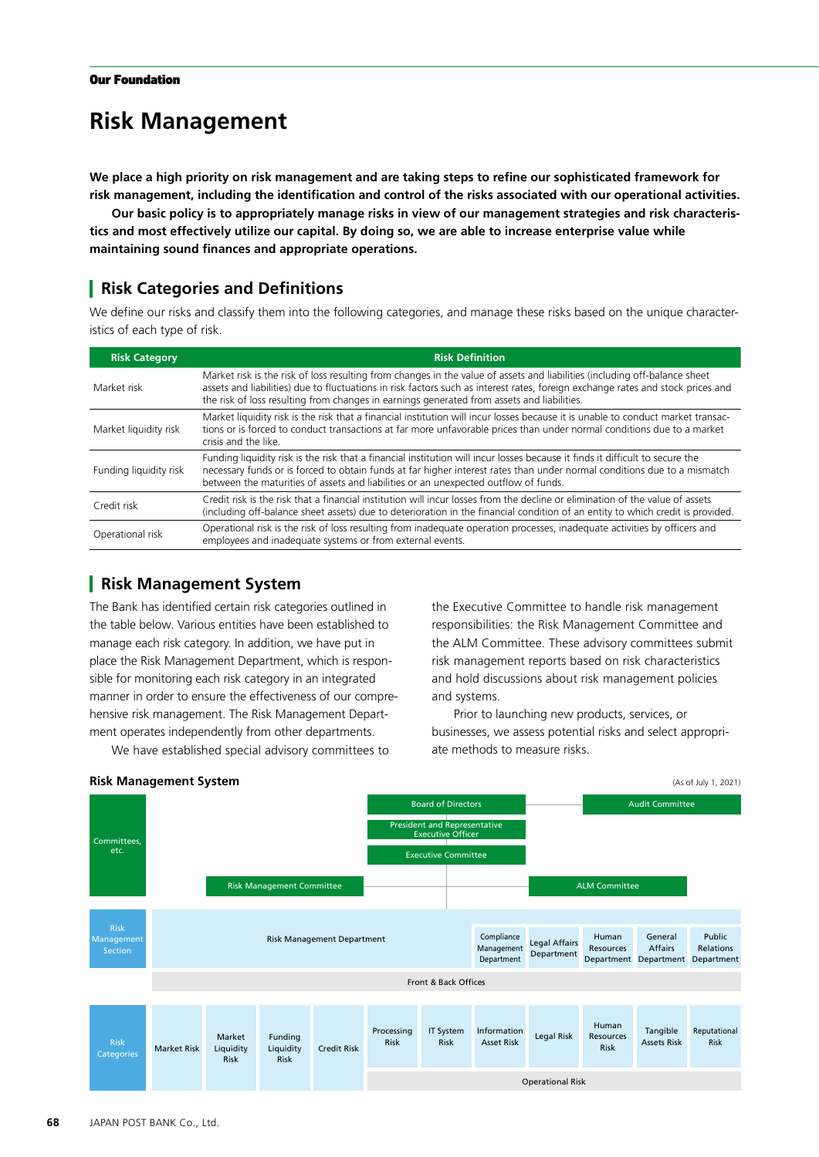# **Risk Management**

**We place a high priority on risk management and are taking steps to refine our sophisticated framework for risk management, including the identification and control of the risks associated with our operational activities.** 

**Our basic policy is to appropriately manage risks in view of our management strategies and risk characteristics and most effectively utilize our capital. By doing so, we are able to increase enterprise value while maintaining sound finances and appropriate operations.**

## **Risk Categories and Definitions**

We define our risks and classify them into the following categories, and manage these risks based on the unique characteristics of each type of risk.

| <b>Risk Category</b>   | <b>Risk Definition</b>                                                                                                                                                                                                                                                                                                                                      |
|------------------------|-------------------------------------------------------------------------------------------------------------------------------------------------------------------------------------------------------------------------------------------------------------------------------------------------------------------------------------------------------------|
| Market risk            | Market risk is the risk of loss resulting from changes in the value of assets and liabilities (including off-balance sheet<br>assets and liabilities) due to fluctuations in risk factors such as interest rates, foreign exchange rates and stock prices and<br>the risk of loss resulting from changes in earnings generated from assets and liabilities. |
| Market liquidity risk  | Market liquidity risk is the risk that a financial institution will incur losses because it is unable to conduct market transac-<br>tions or is forced to conduct transactions at far more unfavorable prices than under normal conditions due to a market<br>crisis and the like.                                                                          |
| Funding liquidity risk | Funding liquidity risk is the risk that a financial institution will incur losses because it finds it difficult to secure the<br>necessary funds or is forced to obtain funds at far higher interest rates than under normal conditions due to a mismatch<br>between the maturities of assets and liabilities or an unexpected outflow of funds.            |
| Credit risk            | Credit risk is the risk that a financial institution will incur losses from the decline or elimination of the value of assets<br>(including off-balance sheet assets) due to deterioration in the financial condition of an entity to which credit is provided.                                                                                             |
| Operational risk       | Operational risk is the risk of loss resulting from inadequate operation processes, inadequate activities by officers and<br>employees and inadequate systems or from external events.                                                                                                                                                                      |

# **Risk Management System**

The Bank has identified certain risk categories outlined in the table below. Various entities have been established to manage each risk category. In addition, we have put in place the Risk Management Department, which is responsible for monitoring each risk category in an integrated manner in order to ensure the effectiveness of our comprehensive risk management. The Risk Management Department operates independently from other departments.

We have established special advisory committees to

the Executive Committee to handle risk management responsibilities: the Risk Management Committee and the ALM Committee. These advisory committees submit risk management reports based on risk characteristics and hold discussions about risk management policies and systems.

Prior to launching new products, services, or businesses, we assess potential risks and select appropriate methods to measure risks.

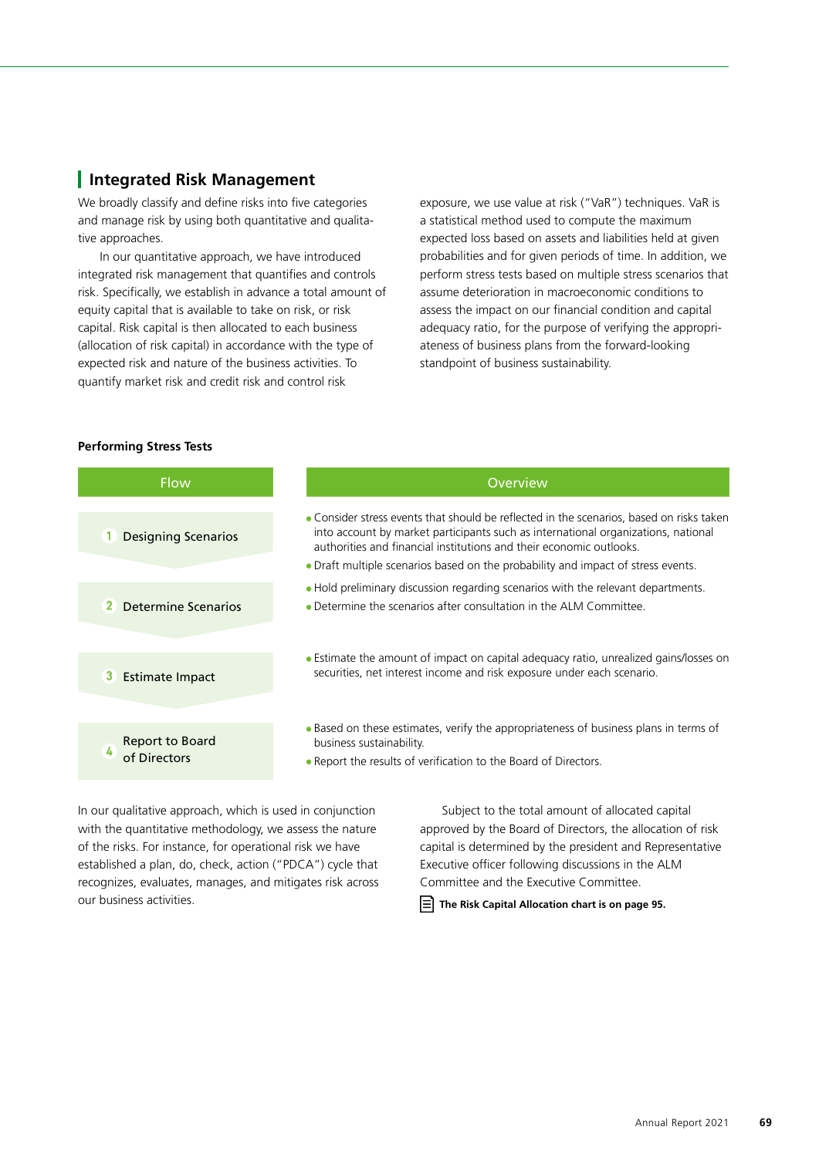#### **Integrated Risk Management**

We broadly classify and define risks into five categories and manage risk by using both quantitative and qualitative approaches.

In our quantitative approach, we have introduced integrated risk management that quantifies and controls risk. Specifically, we establish in advance a total amount of equity capital that is available to take on risk, or risk capital. Risk capital is then allocated to each business (allocation of risk capital) in accordance with the type of expected risk and nature of the business activities. To quantify market risk and credit risk and control risk

exposure, we use value at risk ("VaR") techniques. VaR is a statistical method used to compute the maximum expected loss based on assets and liabilities held at given probabilities and for given periods of time. In addition, we perform stress tests based on multiple stress scenarios that assume deterioration in macroeconomic conditions to assess the impact on our financial condition and capital adequacy ratio, for the purpose of verifying the appropriateness of business plans from the forward-looking standpoint of business sustainability.

#### **Performing Stress Tests**

| <b>Flow</b>                           | Overview                                                                                                                                                                                                                                                                                                                                 |
|---------------------------------------|------------------------------------------------------------------------------------------------------------------------------------------------------------------------------------------------------------------------------------------------------------------------------------------------------------------------------------------|
| <b>Designing Scenarios</b>            | • Consider stress events that should be reflected in the scenarios, based on risks taken<br>into account by market participants such as international organizations, national<br>authorities and financial institutions and their economic outlooks.<br>• Draft multiple scenarios based on the probability and impact of stress events. |
| Determine Scenarios<br>2 <sub>1</sub> | • Hold preliminary discussion regarding scenarios with the relevant departments.<br>• Determine the scenarios after consultation in the ALM Committee.                                                                                                                                                                                   |
| <b>3</b> Estimate Impact              | • Estimate the amount of impact on capital adequacy ratio, unrealized gains/losses on<br>securities, net interest income and risk exposure under each scenario.                                                                                                                                                                          |
| Report to Board<br>of Directors       | • Based on these estimates, verify the appropriateness of business plans in terms of<br>business sustainability.<br>• Report the results of verification to the Board of Directors.                                                                                                                                                      |

In our qualitative approach, which is used in conjunction with the quantitative methodology, we assess the nature of the risks. For instance, for operational risk we have established a plan, do, check, action ("PDCA") cycle that recognizes, evaluates, manages, and mitigates risk across our business activities.

Subject to the total amount of allocated capital approved by the Board of Directors, the allocation of risk capital is determined by the president and Representative Executive officer following discussions in the ALM Committee and the Executive Committee.

 **The Risk Capital Allocation chart is on page 95.**